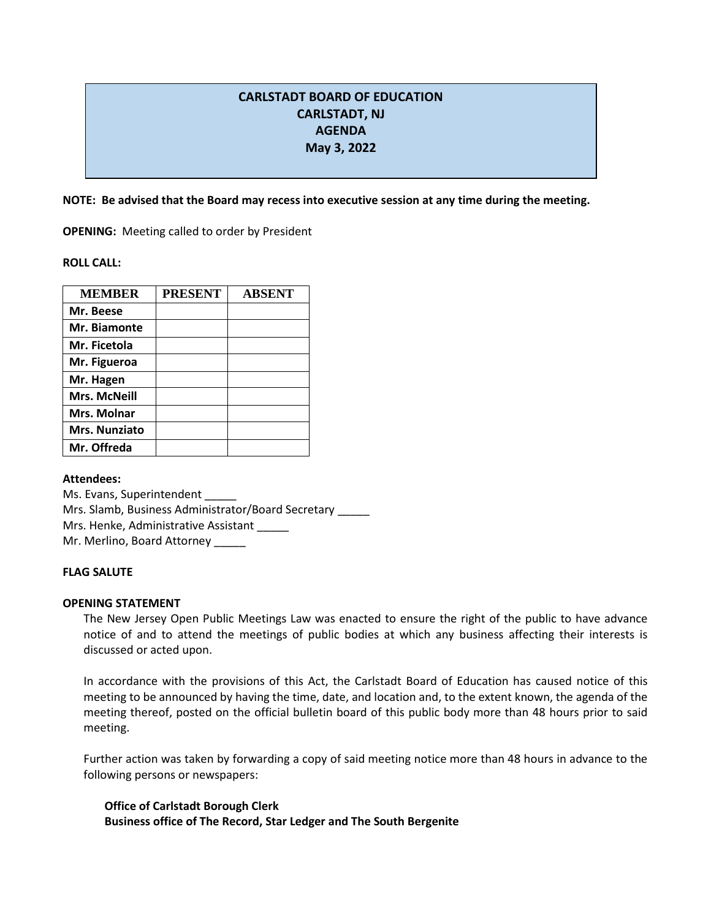# **CARLSTADT BOARD OF EDUCATION CARLSTADT, NJ AGENDA May 3, 2022**

**NOTE: Be advised that the Board may recess into executive session at any time during the meeting.**

**OPENING:** Meeting called to order by President

**ROLL CALL:** 

| <b>MEMBER</b>        | <b>PRESENT</b> | <b>ABSENT</b> |
|----------------------|----------------|---------------|
| Mr. Beese            |                |               |
| Mr. Biamonte         |                |               |
| Mr. Ficetola         |                |               |
| Mr. Figueroa         |                |               |
| Mr. Hagen            |                |               |
| <b>Mrs. McNeill</b>  |                |               |
| Mrs. Molnar          |                |               |
| <b>Mrs. Nunziato</b> |                |               |
| Mr. Offreda          |                |               |

**Attendees:**

Ms. Evans, Superintendent \_\_\_\_\_ Mrs. Slamb, Business Administrator/Board Secretary \_\_\_\_\_ Mrs. Henke, Administrative Assistant Mr. Merlino, Board Attorney \_\_\_\_\_

# **FLAG SALUTE**

## **OPENING STATEMENT**

The New Jersey Open Public Meetings Law was enacted to ensure the right of the public to have advance notice of and to attend the meetings of public bodies at which any business affecting their interests is discussed or acted upon.

In accordance with the provisions of this Act, the Carlstadt Board of Education has caused notice of this meeting to be announced by having the time, date, and location and, to the extent known, the agenda of the meeting thereof, posted on the official bulletin board of this public body more than 48 hours prior to said meeting.

Further action was taken by forwarding a copy of said meeting notice more than 48 hours in advance to the following persons or newspapers:

**Office of Carlstadt Borough Clerk Business office of The Record, Star Ledger and The South Bergenite**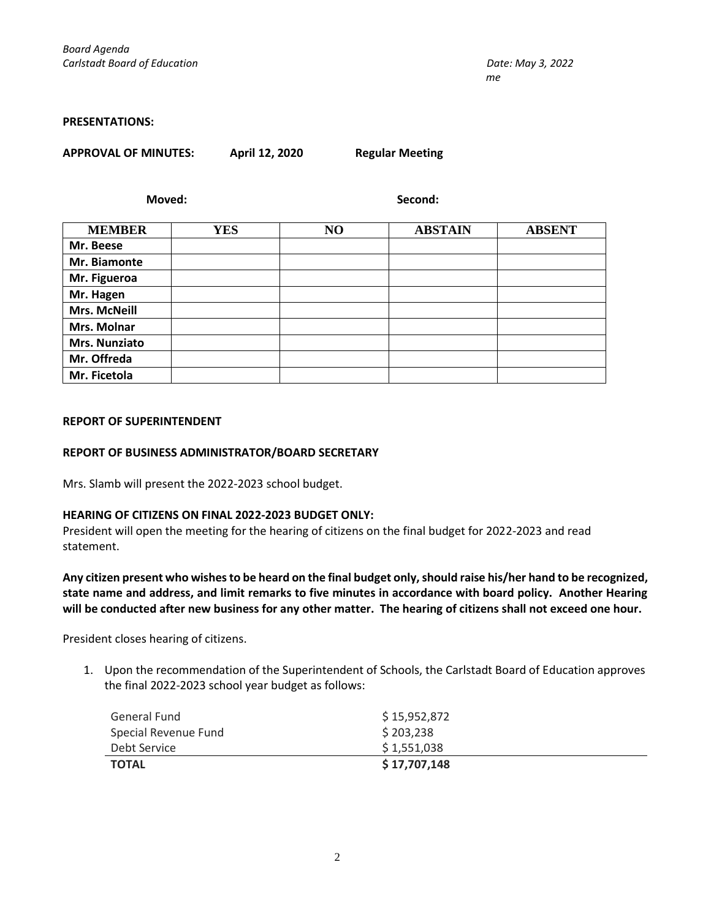#### **PRESENTATIONS:**

|  | <b>APPROVAL OF MINUTES:</b> |
|--|-----------------------------|
|--|-----------------------------|

**APPROVAL OF MINUTES: April 12, 2020 Regular Meeting**

**Moved: Second:**

| <b>MEMBER</b>       | <b>YES</b> | N <sub>O</sub> | <b>ABSTAIN</b> | <b>ABSENT</b> |
|---------------------|------------|----------------|----------------|---------------|
| Mr. Beese           |            |                |                |               |
| Mr. Biamonte        |            |                |                |               |
| Mr. Figueroa        |            |                |                |               |
| Mr. Hagen           |            |                |                |               |
| <b>Mrs. McNeill</b> |            |                |                |               |
| Mrs. Molnar         |            |                |                |               |
| Mrs. Nunziato       |            |                |                |               |
| Mr. Offreda         |            |                |                |               |
| Mr. Ficetola        |            |                |                |               |

## **REPORT OF SUPERINTENDENT**

#### **REPORT OF BUSINESS ADMINISTRATOR/BOARD SECRETARY**

Mrs. Slamb will present the 2022-2023 school budget.

## **HEARING OF CITIZENS ON FINAL 2022-2023 BUDGET ONLY:**

President will open the meeting for the hearing of citizens on the final budget for 2022-2023 and read statement.

**Any citizen present who wishes to be heard on the final budget only, should raise his/her hand to be recognized, state name and address, and limit remarks to five minutes in accordance with board policy. Another Hearing will be conducted after new business for any other matter. The hearing of citizens shall not exceed one hour.**

President closes hearing of citizens.

1. Upon the recommendation of the Superintendent of Schools, the Carlstadt Board of Education approves the final 2022-2023 school year budget as follows:

| General Fund         | \$15,952,872 |  |
|----------------------|--------------|--|
| Special Revenue Fund | \$203,238    |  |
| Debt Service         | \$1,551,038  |  |
| <b>TOTAL</b>         | \$17,707,148 |  |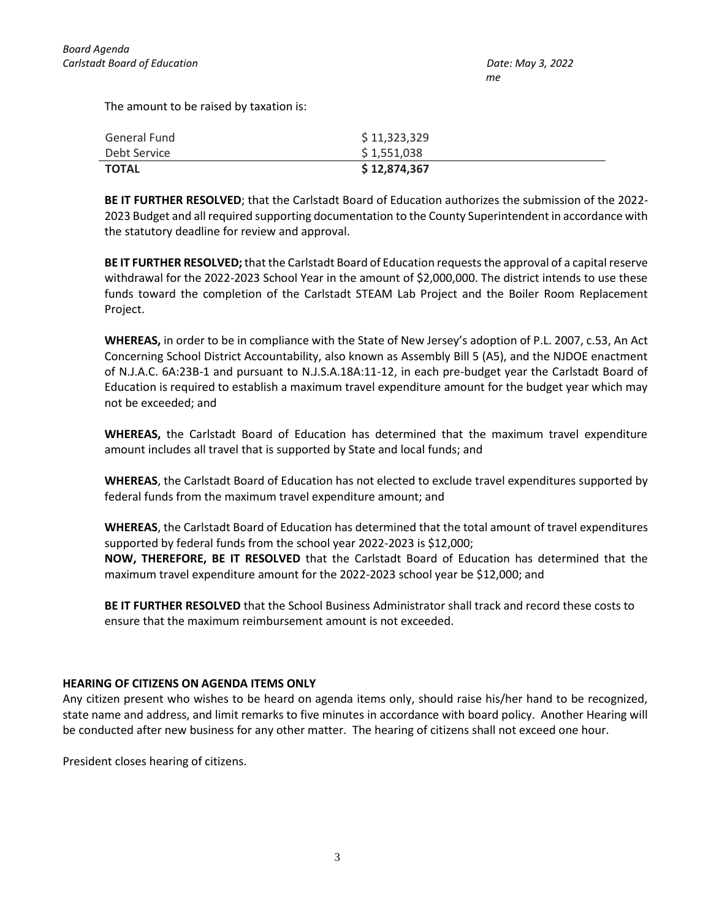The amount to be raised by taxation is:

| General Fund | \$11,323,329  |
|--------------|---------------|
| Debt Service | \$1,551,038   |
| <b>TOTAL</b> | \$ 12,874,367 |

**BE IT FURTHER RESOLVED**; that the Carlstadt Board of Education authorizes the submission of the 2022- 2023 Budget and all required supporting documentation to the County Superintendent in accordance with the statutory deadline for review and approval.

**BE IT FURTHER RESOLVED;**that the Carlstadt Board of Education requests the approval of a capital reserve withdrawal for the 2022-2023 School Year in the amount of \$2,000,000. The district intends to use these funds toward the completion of the Carlstadt STEAM Lab Project and the Boiler Room Replacement Project.

**WHEREAS,** in order to be in compliance with the State of New Jersey's adoption of P.L. 2007, c.53, An Act Concerning School District Accountability, also known as Assembly Bill 5 (A5), and the NJDOE enactment of N.J.A.C. 6A:23B-1 and pursuant to N.J.S.A.18A:11-12, in each pre-budget year the Carlstadt Board of Education is required to establish a maximum travel expenditure amount for the budget year which may not be exceeded; and

**WHEREAS,** the Carlstadt Board of Education has determined that the maximum travel expenditure amount includes all travel that is supported by State and local funds; and

**WHEREAS**, the Carlstadt Board of Education has not elected to exclude travel expenditures supported by federal funds from the maximum travel expenditure amount; and

**WHEREAS**, the Carlstadt Board of Education has determined that the total amount of travel expenditures supported by federal funds from the school year 2022-2023 is \$12,000; **NOW, THEREFORE, BE IT RESOLVED** that the Carlstadt Board of Education has determined that the maximum travel expenditure amount for the 2022-2023 school year be \$12,000; and

**BE IT FURTHER RESOLVED** that the School Business Administrator shall track and record these costs to ensure that the maximum reimbursement amount is not exceeded.

# **HEARING OF CITIZENS ON AGENDA ITEMS ONLY**

Any citizen present who wishes to be heard on agenda items only, should raise his/her hand to be recognized, state name and address, and limit remarks to five minutes in accordance with board policy. Another Hearing will be conducted after new business for any other matter. The hearing of citizens shall not exceed one hour.

President closes hearing of citizens.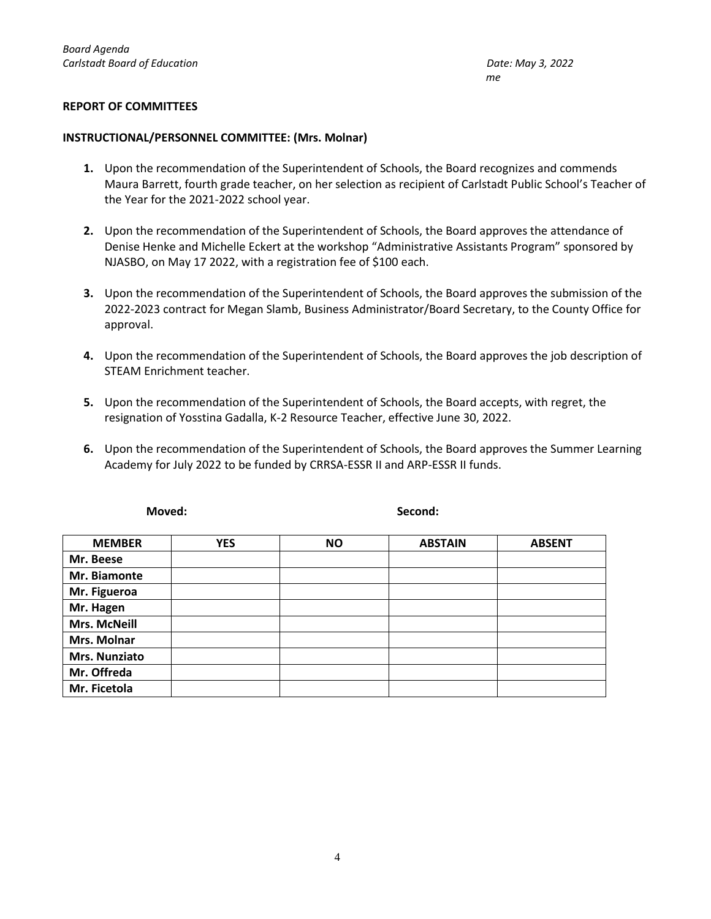## **REPORT OF COMMITTEES**

## **INSTRUCTIONAL/PERSONNEL COMMITTEE: (Mrs. Molnar)**

- **1.** Upon the recommendation of the Superintendent of Schools, the Board recognizes and commends Maura Barrett, fourth grade teacher, on her selection as recipient of Carlstadt Public School's Teacher of the Year for the 2021-2022 school year.
- **2.** Upon the recommendation of the Superintendent of Schools, the Board approves the attendance of Denise Henke and Michelle Eckert at the workshop "Administrative Assistants Program" sponsored by NJASBO, on May 17 2022, with a registration fee of \$100 each.
- **3.** Upon the recommendation of the Superintendent of Schools, the Board approves the submission of the 2022-2023 contract for Megan Slamb, Business Administrator/Board Secretary, to the County Office for approval.
- **4.** Upon the recommendation of the Superintendent of Schools, the Board approves the job description of STEAM Enrichment teacher.
- **5.** Upon the recommendation of the Superintendent of Schools, the Board accepts, with regret, the resignation of Yosstina Gadalla, K-2 Resource Teacher, effective June 30, 2022.
- **6.** Upon the recommendation of the Superintendent of Schools, the Board approves the Summer Learning Academy for July 2022 to be funded by CRRSA-ESSR II and ARP-ESSR II funds.

| <b>MEMBER</b>        | <b>YES</b> | <b>NO</b> | <b>ABSTAIN</b> | <b>ABSENT</b> |
|----------------------|------------|-----------|----------------|---------------|
| Mr. Beese            |            |           |                |               |
| Mr. Biamonte         |            |           |                |               |
| Mr. Figueroa         |            |           |                |               |
| Mr. Hagen            |            |           |                |               |
| <b>Mrs. McNeill</b>  |            |           |                |               |
| Mrs. Molnar          |            |           |                |               |
| <b>Mrs. Nunziato</b> |            |           |                |               |
| Mr. Offreda          |            |           |                |               |
| Mr. Ficetola         |            |           |                |               |

**Moved: Second:**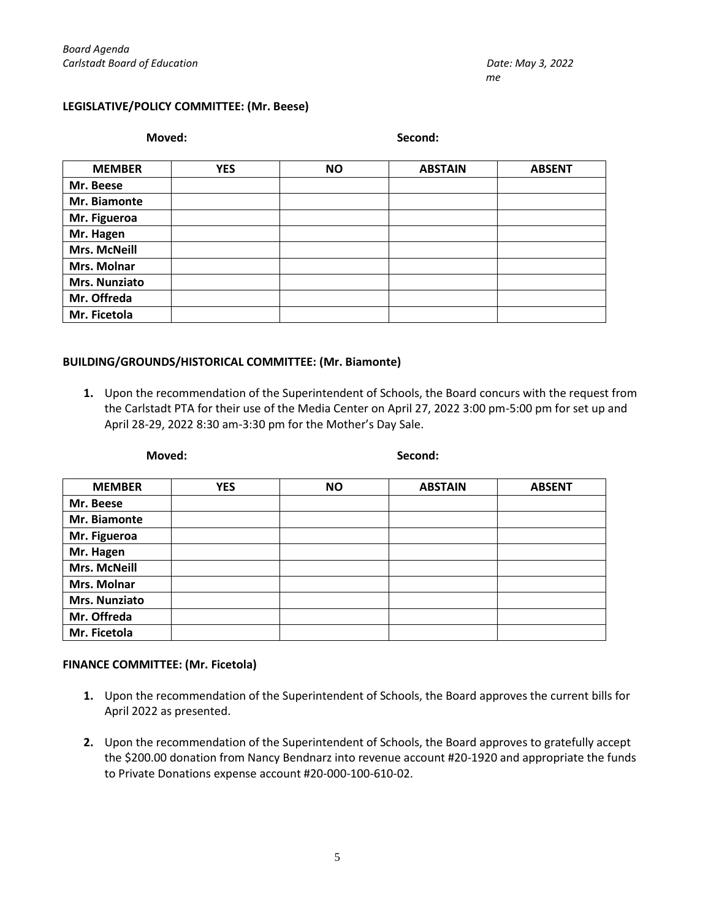## **LEGISLATIVE/POLICY COMMITTEE: (Mr. Beese)**

**Moved: Second:**

| <b>MEMBER</b>       | <b>YES</b> | <b>NO</b> | <b>ABSTAIN</b> | <b>ABSENT</b> |
|---------------------|------------|-----------|----------------|---------------|
| Mr. Beese           |            |           |                |               |
| Mr. Biamonte        |            |           |                |               |
| Mr. Figueroa        |            |           |                |               |
| Mr. Hagen           |            |           |                |               |
| <b>Mrs. McNeill</b> |            |           |                |               |
| Mrs. Molnar         |            |           |                |               |
| Mrs. Nunziato       |            |           |                |               |
| Mr. Offreda         |            |           |                |               |
| Mr. Ficetola        |            |           |                |               |

## **BUILDING/GROUNDS/HISTORICAL COMMITTEE: (Mr. Biamonte)**

**1.** Upon the recommendation of the Superintendent of Schools, the Board concurs with the request from the Carlstadt PTA for their use of the Media Center on April 27, 2022 3:00 pm-5:00 pm for set up and April 28-29, 2022 8:30 am-3:30 pm for the Mother's Day Sale.

| Moved: |  |  |  |
|--------|--|--|--|
|        |  |  |  |

#### **Moved: Second:**

| <b>MEMBER</b>       | <b>YES</b> | <b>NO</b> | <b>ABSTAIN</b> | <b>ABSENT</b> |
|---------------------|------------|-----------|----------------|---------------|
| Mr. Beese           |            |           |                |               |
| Mr. Biamonte        |            |           |                |               |
| Mr. Figueroa        |            |           |                |               |
| Mr. Hagen           |            |           |                |               |
| <b>Mrs. McNeill</b> |            |           |                |               |
| Mrs. Molnar         |            |           |                |               |
| Mrs. Nunziato       |            |           |                |               |
| Mr. Offreda         |            |           |                |               |
| Mr. Ficetola        |            |           |                |               |

## **FINANCE COMMITTEE: (Mr. Ficetola)**

- **1.** Upon the recommendation of the Superintendent of Schools, the Board approves the current bills for April 2022 as presented.
- **2.** Upon the recommendation of the Superintendent of Schools, the Board approves to gratefully accept the \$200.00 donation from Nancy Bendnarz into revenue account #20-1920 and appropriate the funds to Private Donations expense account #20-000-100-610-02.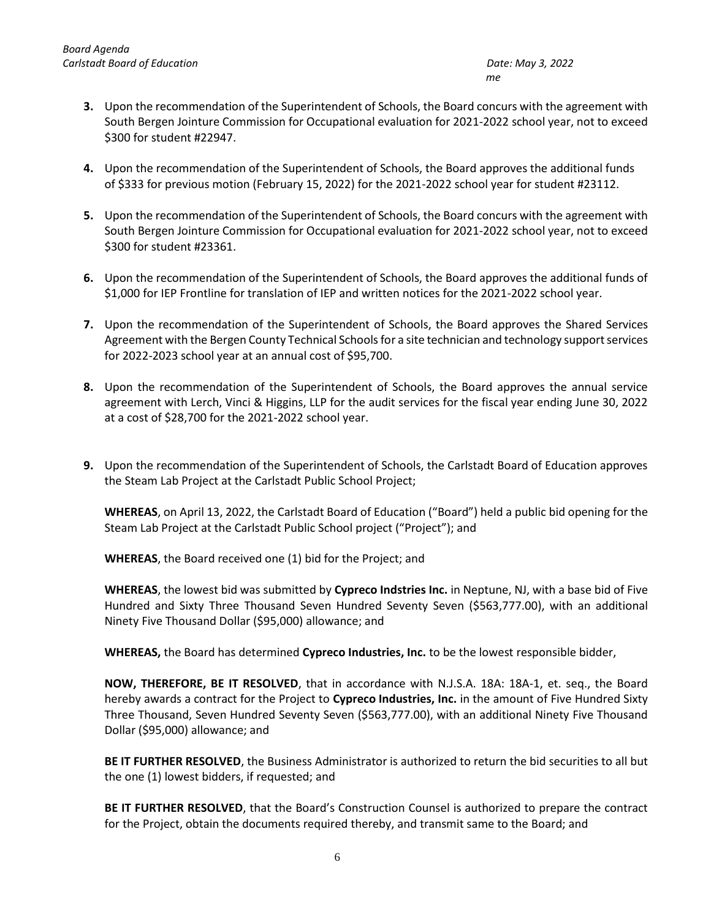- **3.** Upon the recommendation of the Superintendent of Schools, the Board concurs with the agreement with South Bergen Jointure Commission for Occupational evaluation for 2021-2022 school year, not to exceed \$300 for student #22947.
- **4.** Upon the recommendation of the Superintendent of Schools, the Board approves the additional funds of \$333 for previous motion (February 15, 2022) for the 2021-2022 school year for student #23112.
- **5.** Upon the recommendation of the Superintendent of Schools, the Board concurs with the agreement with South Bergen Jointure Commission for Occupational evaluation for 2021-2022 school year, not to exceed \$300 for student #23361.
- **6.** Upon the recommendation of the Superintendent of Schools, the Board approves the additional funds of \$1,000 for IEP Frontline for translation of IEP and written notices for the 2021-2022 school year.
- **7.** Upon the recommendation of the Superintendent of Schools, the Board approves the Shared Services Agreement with the Bergen County Technical Schools for a site technician and technology support services for 2022-2023 school year at an annual cost of \$95,700.
- **8.** Upon the recommendation of the Superintendent of Schools, the Board approves the annual service agreement with Lerch, Vinci & Higgins, LLP for the audit services for the fiscal year ending June 30, 2022 at a cost of \$28,700 for the 2021-2022 school year.
- **9.** Upon the recommendation of the Superintendent of Schools, the Carlstadt Board of Education approves the Steam Lab Project at the Carlstadt Public School Project;

**WHEREAS**, on April 13, 2022, the Carlstadt Board of Education ("Board") held a public bid opening for the Steam Lab Project at the Carlstadt Public School project ("Project"); and

**WHEREAS**, the Board received one (1) bid for the Project; and

**WHEREAS**, the lowest bid was submitted by **Cypreco Indstries Inc.** in Neptune, NJ, with a base bid of Five Hundred and Sixty Three Thousand Seven Hundred Seventy Seven (\$563,777.00), with an additional Ninety Five Thousand Dollar (\$95,000) allowance; and

**WHEREAS,** the Board has determined **Cypreco Industries, Inc.** to be the lowest responsible bidder,

**NOW, THEREFORE, BE IT RESOLVED**, that in accordance with N.J.S.A. 18A: 18A-1, et. seq., the Board hereby awards a contract for the Project to **Cypreco Industries, Inc.** in the amount of Five Hundred Sixty Three Thousand, Seven Hundred Seventy Seven (\$563,777.00), with an additional Ninety Five Thousand Dollar (\$95,000) allowance; and

**BE IT FURTHER RESOLVED**, the Business Administrator is authorized to return the bid securities to all but the one (1) lowest bidders, if requested; and

**BE IT FURTHER RESOLVED**, that the Board's Construction Counsel is authorized to prepare the contract for the Project, obtain the documents required thereby, and transmit same to the Board; and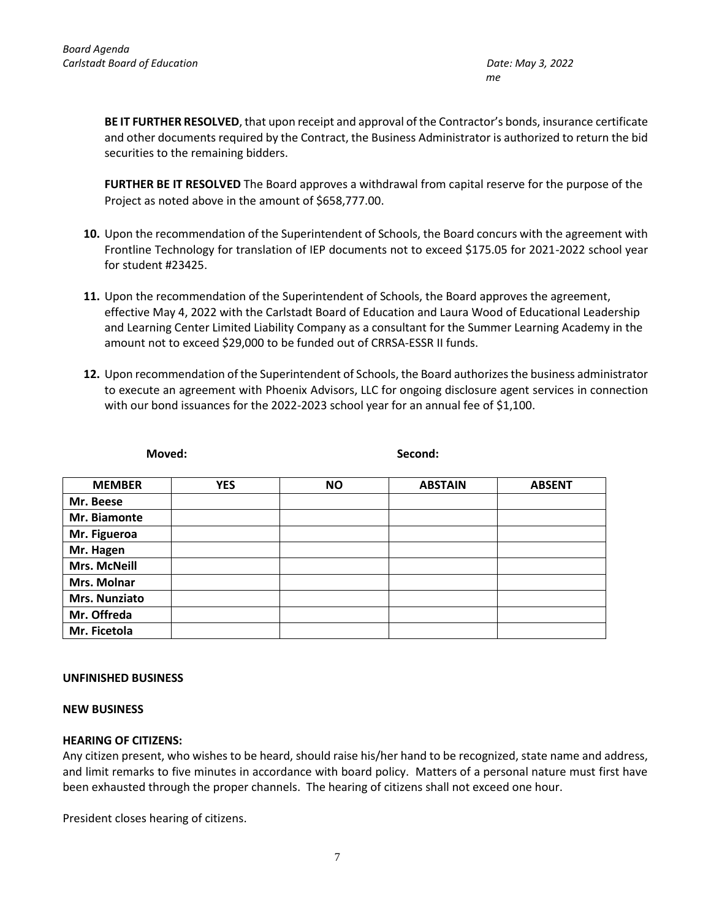**BE IT FURTHER RESOLVED**, that upon receipt and approval of the Contractor's bonds, insurance certificate and other documents required by the Contract, the Business Administrator is authorized to return the bid securities to the remaining bidders.

**FURTHER BE IT RESOLVED** The Board approves a withdrawal from capital reserve for the purpose of the Project as noted above in the amount of \$658,777.00.

- **10.** Upon the recommendation of the Superintendent of Schools, the Board concurs with the agreement with Frontline Technology for translation of IEP documents not to exceed \$175.05 for 2021-2022 school year for student #23425.
- **11.** Upon the recommendation of the Superintendent of Schools, the Board approves the agreement, effective May 4, 2022 with the Carlstadt Board of Education and Laura Wood of Educational Leadership and Learning Center Limited Liability Company as a consultant for the Summer Learning Academy in the amount not to exceed \$29,000 to be funded out of CRRSA-ESSR II funds.
- **12.** Upon recommendation of the Superintendent of Schools, the Board authorizes the business administrator to execute an agreement with Phoenix Advisors, LLC for ongoing disclosure agent services in connection with our bond issuances for the 2022-2023 school year for an annual fee of \$1,100.

| Moved:               |            | Second:   |                |               |
|----------------------|------------|-----------|----------------|---------------|
| <b>MEMBER</b>        | <b>YES</b> | <b>NO</b> | <b>ABSTAIN</b> | <b>ABSENT</b> |
| Mr. Beese            |            |           |                |               |
| Mr. Biamonte         |            |           |                |               |
| Mr. Figueroa         |            |           |                |               |
| Mr. Hagen            |            |           |                |               |
| <b>Mrs. McNeill</b>  |            |           |                |               |
| Mrs. Molnar          |            |           |                |               |
| <b>Mrs. Nunziato</b> |            |           |                |               |
| Mr. Offreda          |            |           |                |               |
| Mr. Ficetola         |            |           |                |               |
|                      |            |           |                |               |

## **UNFINISHED BUSINESS**

# **NEW BUSINESS**

## **HEARING OF CITIZENS:**

Any citizen present, who wishes to be heard, should raise his/her hand to be recognized, state name and address, and limit remarks to five minutes in accordance with board policy. Matters of a personal nature must first have been exhausted through the proper channels. The hearing of citizens shall not exceed one hour.

President closes hearing of citizens.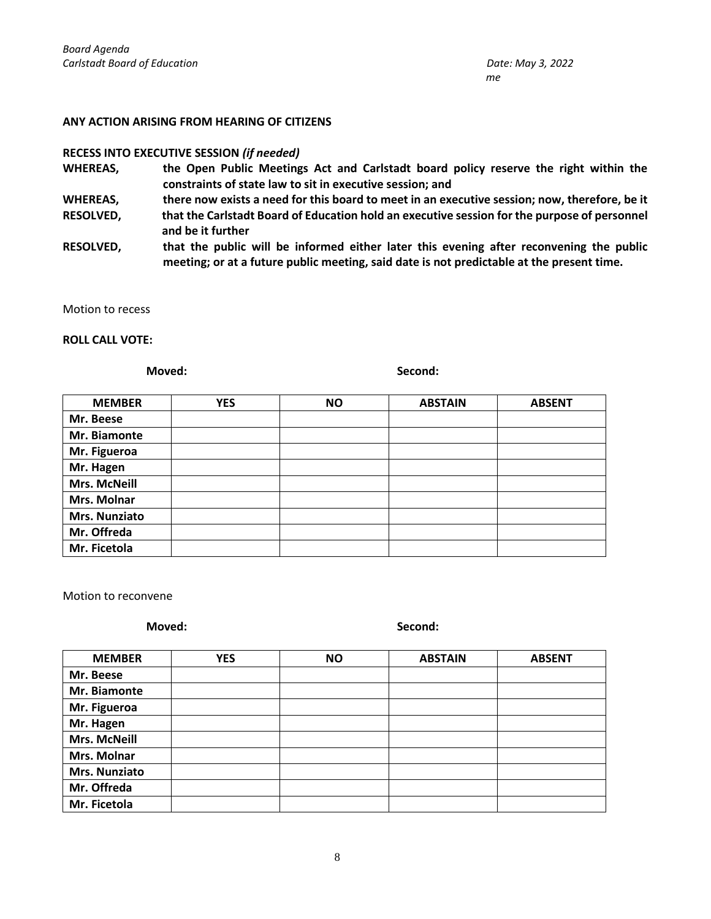#### **ANY ACTION ARISING FROM HEARING OF CITIZENS**

#### **RECESS INTO EXECUTIVE SESSION** *(if needed)*

**WHEREAS, the Open Public Meetings Act and Carlstadt board policy reserve the right within the constraints of state law to sit in executive session; and** 

**WHEREAS, there now exists a need for this board to meet in an executive session; now, therefore, be it**

- **RESOLVED, that the Carlstadt Board of Education hold an executive session for the purpose of personnel and be it further**
- **RESOLVED, that the public will be informed either later this evening after reconvening the public meeting; or at a future public meeting, said date is not predictable at the present time.**

Motion to recess

#### **ROLL CALL VOTE:**

**Moved: Second:**

| <b>MEMBER</b>       | <b>YES</b> | <b>NO</b> | <b>ABSTAIN</b> | <b>ABSENT</b> |
|---------------------|------------|-----------|----------------|---------------|
| Mr. Beese           |            |           |                |               |
| Mr. Biamonte        |            |           |                |               |
| Mr. Figueroa        |            |           |                |               |
| Mr. Hagen           |            |           |                |               |
| <b>Mrs. McNeill</b> |            |           |                |               |
| Mrs. Molnar         |            |           |                |               |
| Mrs. Nunziato       |            |           |                |               |
| Mr. Offreda         |            |           |                |               |
| Mr. Ficetola        |            |           |                |               |

Motion to reconvene

**Moved: Second:**

| <b>MEMBER</b>       | <b>YES</b> | <b>NO</b> | <b>ABSTAIN</b> | <b>ABSENT</b> |
|---------------------|------------|-----------|----------------|---------------|
| Mr. Beese           |            |           |                |               |
| Mr. Biamonte        |            |           |                |               |
| Mr. Figueroa        |            |           |                |               |
| Mr. Hagen           |            |           |                |               |
| <b>Mrs. McNeill</b> |            |           |                |               |
| Mrs. Molnar         |            |           |                |               |
| Mrs. Nunziato       |            |           |                |               |
| Mr. Offreda         |            |           |                |               |
| Mr. Ficetola        |            |           |                |               |